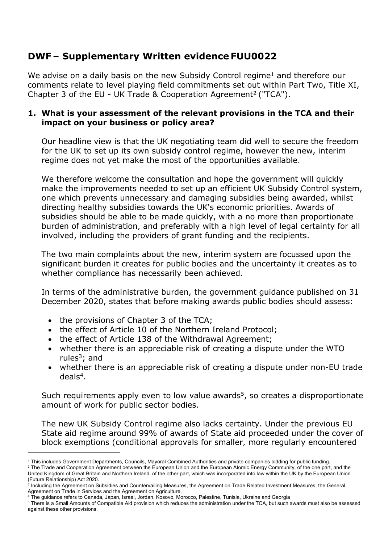# **DWF – Supplementary Written evidence FUU0022**

We advise on a daily basis on the new Subsidy Control regime<sup>1</sup> and therefore our comments relate to level playing field commitments set out within Part Two, Title XI, Chapter 3 of the EU - UK Trade & Cooperation Agreement<sup>2</sup> ("TCA").

## **1. What is your assessment of the relevant provisions in the TCA and their impact on your business or policy area?**

Our headline view is that the UK negotiating team did well to secure the freedom for the UK to set up its own subsidy control regime, however the new, interim regime does not yet make the most of the opportunities available.

We therefore welcome the consultation and hope the government will quickly make the improvements needed to set up an efficient UK Subsidy Control system, one which prevents unnecessary and damaging subsidies being awarded, whilst directing healthy subsidies towards the UK's economic priorities. Awards of subsidies should be able to be made quickly, with a no more than proportionate burden of administration, and preferably with a high level of legal certainty for all involved, including the providers of grant funding and the recipients.

The two main complaints about the new, interim system are focussed upon the significant burden it creates for public bodies and the uncertainty it creates as to whether compliance has necessarily been achieved.

In terms of the administrative burden, the government guidance published on 31 December 2020, states that before making awards public bodies should assess:

- the provisions of Chapter 3 of the TCA;
- the effect of Article 10 of the Northern Ireland Protocol;
- the effect of Article 138 of the Withdrawal Agreement;
- whether there is an appreciable risk of creating a dispute under the WTO rules $3$ ; and
- whether there is an appreciable risk of creating a dispute under non-EU trade deals<sup>4</sup>.

Such requirements apply even to low value awards<sup>5</sup>, so creates a disproportionate amount of work for public sector bodies.

The new UK Subsidy Control regime also lacks certainty. Under the previous EU State aid regime around 99% of awards of State aid proceeded under the cover of block exemptions (conditional approvals for smaller, more regularly encountered

<sup>2</sup> The Trade and Cooperation Agreement between the European Union and the European Atomic Energy Community, of the one part, and the United Kingdom of Great Britain and Northern Ireland, of the other part, which was incorporated into law within the UK by the European Union (Future Relationship) Act 2020.

<sup>1</sup> This includes Government Departments, Councils, Mayoral Combined Authorities and private companies bidding for public funding.

<sup>3</sup> Including the Agreement on Subsidies and Countervailing Measures, the Agreement on Trade Related Investment Measures, the General Agreement on Trade in Services and the Agreement on Agriculture.

<sup>4</sup> The guidance refers to Canada, Japan, Israel, Jordan, Kosovo, Morocco, Palestine, Tunisia, Ukraine and Georgia

<sup>5</sup> There is a Small Amounts of Compatible Aid provision which reduces the administration under the TCA, but such awards must also be assessed against these other provisions.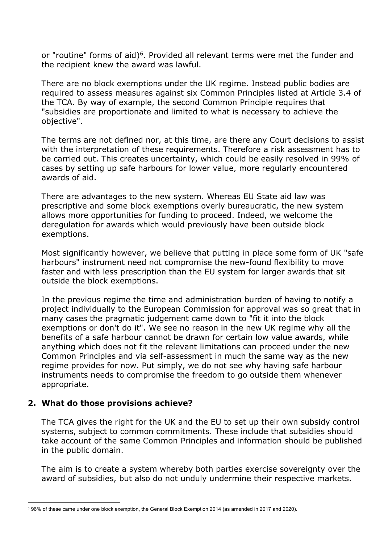or "routine" forms of aid)<sup>6</sup>. Provided all relevant terms were met the funder and the recipient knew the award was lawful.

There are no block exemptions under the UK regime. Instead public bodies are required to assess measures against six Common Principles listed at Article 3.4 of the TCA. By way of example, the second Common Principle requires that "subsidies are proportionate and limited to what is necessary to achieve the objective".

The terms are not defined nor, at this time, are there any Court decisions to assist with the interpretation of these requirements. Therefore a risk assessment has to be carried out. This creates uncertainty, which could be easily resolved in 99% of cases by setting up safe harbours for lower value, more regularly encountered awards of aid.

There are advantages to the new system. Whereas EU State aid law was prescriptive and some block exemptions overly bureaucratic, the new system allows more opportunities for funding to proceed. Indeed, we welcome the deregulation for awards which would previously have been outside block exemptions.

Most significantly however, we believe that putting in place some form of UK "safe harbours" instrument need not compromise the new-found flexibility to move faster and with less prescription than the EU system for larger awards that sit outside the block exemptions.

In the previous regime the time and administration burden of having to notify a project individually to the European Commission for approval was so great that in many cases the pragmatic judgement came down to "fit it into the block exemptions or don't do it". We see no reason in the new UK regime why all the benefits of a safe harbour cannot be drawn for certain low value awards, while anything which does not fit the relevant limitations can proceed under the new Common Principles and via self-assessment in much the same way as the new regime provides for now. Put simply, we do not see why having safe harbour instruments needs to compromise the freedom to go outside them whenever appropriate.

#### **2. What do those provisions achieve?**

The TCA gives the right for the UK and the EU to set up their own subsidy control systems, subject to common commitments. These include that subsidies should take account of the same Common Principles and information should be published in the public domain.

The aim is to create a system whereby both parties exercise sovereignty over the award of subsidies, but also do not unduly undermine their respective markets.

<sup>6</sup> 96% of these came under one block exemption, the General Block Exemption 2014 (as amended in 2017 and 2020).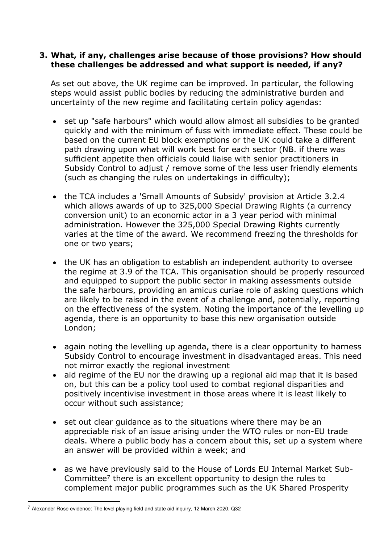#### **3. What, if any, challenges arise because of those provisions? How should these challenges be addressed and what support is needed, if any?**

As set out above, the UK regime can be improved. In particular, the following steps would assist public bodies by reducing the administrative burden and uncertainty of the new regime and facilitating certain policy agendas:

- set up "safe harbours" which would allow almost all subsidies to be granted quickly and with the minimum of fuss with immediate effect. These could be based on the current EU block exemptions or the UK could take a different path drawing upon what will work best for each sector (NB. if there was sufficient appetite then officials could liaise with senior practitioners in Subsidy Control to adjust / remove some of the less user friendly elements (such as changing the rules on undertakings in difficulty);
- the TCA includes a 'Small Amounts of Subsidy' provision at Article 3.2.4 which allows awards of up to 325,000 Special Drawing Rights (a currency conversion unit) to an economic actor in a 3 year period with minimal administration. However the 325,000 Special Drawing Rights currently varies at the time of the award. We recommend freezing the thresholds for one or two years;
- the UK has an obligation to establish an independent authority to oversee the regime at 3.9 of the TCA. This organisation should be properly resourced and equipped to support the public sector in making assessments outside the safe harbours, providing an amicus curiae role of asking questions which are likely to be raised in the event of a challenge and, potentially, reporting on the effectiveness of the system. Noting the importance of the levelling up agenda, there is an opportunity to base this new organisation outside London;
- again noting the levelling up agenda, there is a clear opportunity to harness Subsidy Control to encourage investment in disadvantaged areas. This need not mirror exactly the regional investment
- aid regime of the EU nor the drawing up a regional aid map that it is based on, but this can be a policy tool used to combat regional disparities and positively incentivise investment in those areas where it is least likely to occur without such assistance;
- set out clear guidance as to the situations where there may be an appreciable risk of an issue arising under the WTO rules or non-EU trade deals. Where a public body has a concern about this, set up a system where an answer will be provided within a week; and
- as we have previously said to the House of Lords EU Internal Market Sub-Committee<sup>7</sup> there is an excellent opportunity to design the rules to complement major public programmes such as the UK Shared Prosperity

 $7$  Alexander Rose evidence: The level playing field and state aid inquiry, 12 March 2020, Q32